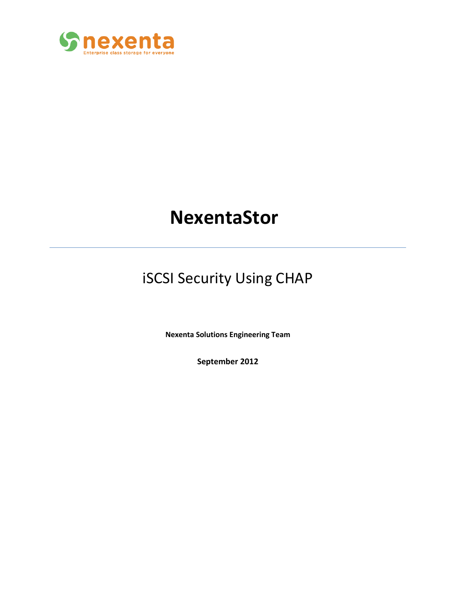

# **NexentaStor**

# iSCSI Security Using CHAP

**Nexenta Solutions Engineering Team**

**September 2012**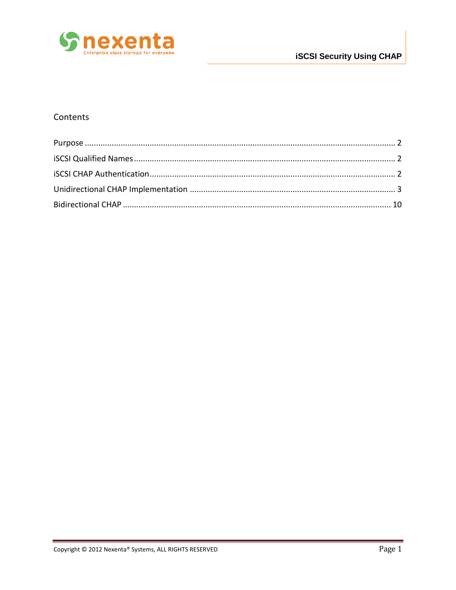

#### Contents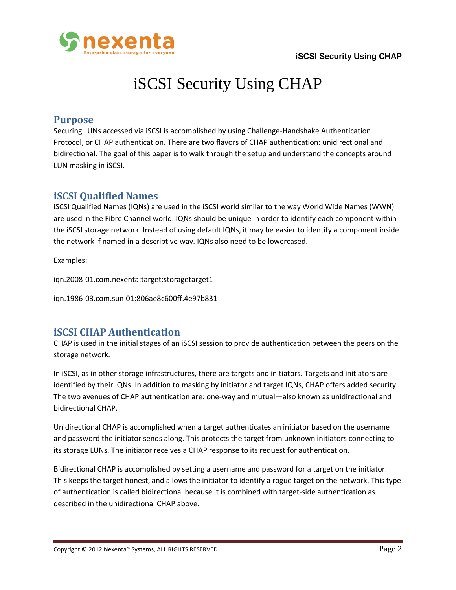

## iSCSI Security Using CHAP

#### **Purpose**

Securing LUNs accessed via iSCSI is accomplished by using Challenge-Handshake Authentication Protocol, or CHAP authentication. There are two flavors of CHAP authentication: unidirectional and bidirectional. The goal of this paper is to walk through the setup and understand the concepts around LUN masking in iSCSI.

#### **iSCSI Qualified Names**

iSCSI Qualified Names (IQNs) are used in the iSCSI world similar to the way World Wide Names (WWN) are used in the Fibre Channel world. IQNs should be unique in order to identify each component within the iSCSI storage network. Instead of using default IQNs, it may be easier to identify a component inside the network if named in a descriptive way. IQNs also need to be lowercased.

Examples:

iqn.2008-01.com.nexenta:target:storagetarget1

iqn.1986-03.com.sun:01:806ae8c600ff.4e97b831

### **iSCSI CHAP Authentication**

CHAP is used in the initial stages of an iSCSI session to provide authentication between the peers on the storage network.

In iSCSI, as in other storage infrastructures, there are targets and initiators. Targets and initiators are identified by their IQNs. In addition to masking by initiator and target IQNs, CHAP offers added security. The two avenues of CHAP authentication are: one-way and mutual—also known as unidirectional and bidirectional CHAP.

Unidirectional CHAP is accomplished when a target authenticates an initiator based on the username and password the initiator sends along. This protects the target from unknown initiators connecting to its storage LUNs. The initiator receives a CHAP response to its request for authentication.

Bidirectional CHAP is accomplished by setting a username and password for a target on the initiator. This keeps the target honest, and allows the initiator to identify a rogue target on the network. This type of authentication is called bidirectional because it is combined with target-side authentication as described in the unidirectional CHAP above.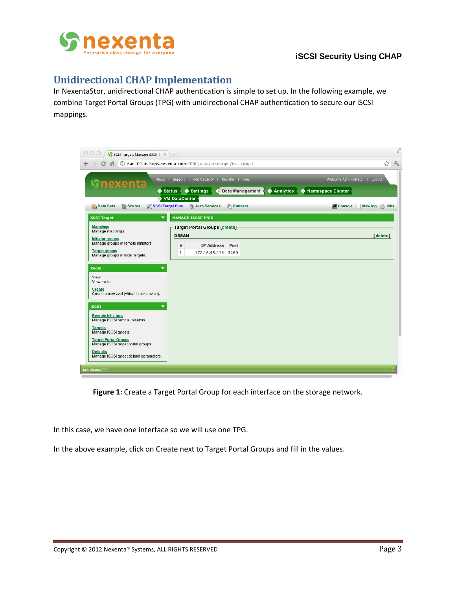

### **Unidirectional CHAP Implementation**

In NexentaStor, unidirectional CHAP authentication is simple to set up. In the following example, we combine Target Portal Groups (TPG) with unidirectional CHAP authentication to secure our iSCSI mappings.

| 000<br>SCSI Target: Manage ISCSI TP X                                                                                                                            |                                                                                                                                                                                                                                    |                                                           |
|------------------------------------------------------------------------------------------------------------------------------------------------------------------|------------------------------------------------------------------------------------------------------------------------------------------------------------------------------------------------------------------------------------|-----------------------------------------------------------|
| C<br>番                                                                                                                                                           | ( isan-01.techops.nexenta.com:2000/data/scsitarget/iscsi/tpgs/                                                                                                                                                                     | ☆<br>ન્ય                                                  |
| <b>Snexenta</b><br><b>Shares</b><br>SCSI Target Plus<br><b>The Data Sets</b>                                                                                     | About   Support   Add Capacity   Register   Help<br>Settings<br>$\leftrightarrow$ Data Management<br>$\bullet$ Analytics<br>Namespace Cluster<br>$\bullet$ Status<br><b>O</b> VM DataCenter<br><b>卷 Auto Services</b><br>然 Runners | Welcome Administrator   Logout<br>Console View log 3 Jobs |
| ▼<br><b>SCSI Target</b>                                                                                                                                          | <b>MANAGE ISCSI TPGS</b>                                                                                                                                                                                                           |                                                           |
| <b>Mappings</b><br>Manage mappings.<br><b>Initiator groups</b><br>Manage groups of remote initiators.<br><b>Target groups</b><br>Manage groups of local targets. | -Target Portal Groups [create]-<br><b>DBSAN</b><br>#<br>IP Address Port<br>$1\,$<br>172.16.45.213 3260                                                                                                                             | [delete]                                                  |
| Zvols<br>▼<br><b>View</b><br>View zvols.<br><b>Create</b><br>Create a new zvol (virtual block device).                                                           |                                                                                                                                                                                                                                    |                                                           |
| <b>iSCSI</b><br>▼<br><b>Remote Initiators</b><br>Manage iSCSI remote initiators.                                                                                 |                                                                                                                                                                                                                                    |                                                           |
| <b>Targets</b><br>Manage iSCSI targets.<br><b>Target Portal Groups</b><br>Manage iSCSI target portal groups.                                                     |                                                                                                                                                                                                                                    |                                                           |
| <b>Defaults</b><br>Manage iSCSI target default parameters.<br><b>Job Viewer Beta</b>                                                                             |                                                                                                                                                                                                                                    | ▣                                                         |

**Figure 1:** Create a Target Portal Group for each interface on the storage network.

In this case, we have one interface so we will use one TPG.

In the above example, click on Create next to Target Portal Groups and fill in the values.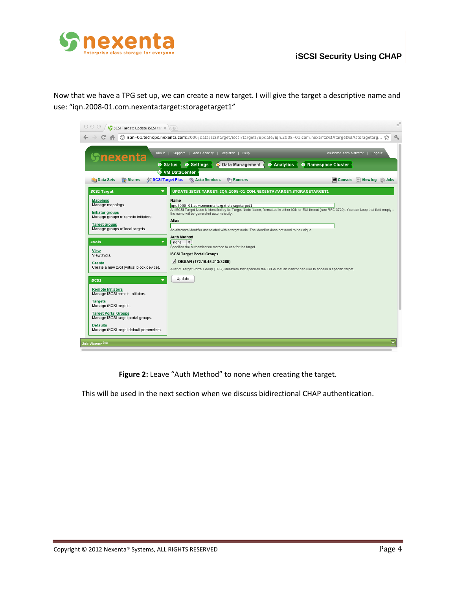

Now that we have a TPG set up, we can create a new target. I will give the target a descriptive name and use: "iqn.2008-01.com.nexenta:target:storagetarget1"



**Figure 2:** Leave "Auth Method" to none when creating the target.

This will be used in the next section when we discuss bidirectional CHAP authentication.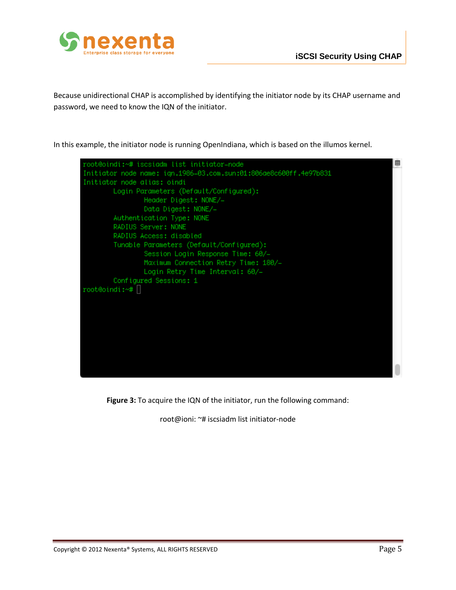



Because unidirectional CHAP is accomplished by identifying the initiator node by its CHAP username and password, we need to know the IQN of the initiator.

In this example, the initiator node is running OpenIndiana, which is based on the illumos kernel.



**Figure 3:** To acquire the IQN of the initiator, run the following command:

root@ioni: ~# iscsiadm list initiator-node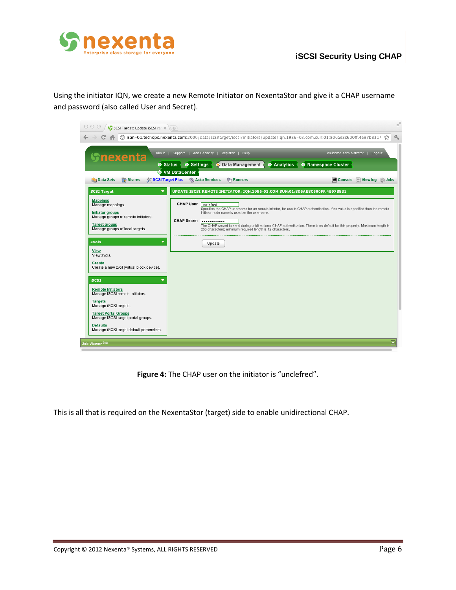

Using the initiator IQN, we create a new Remote Initiator on NexentaStor and give it a CHAP username and password (also called User and Secret).

| SCSI Target: Update iSCSI ren x                                                                                                                                  |                                                                                                                                                                                                                                                                                                  | $\mathbb{R}^{\overline{\mathbb{N}}}$                                                                                          |
|------------------------------------------------------------------------------------------------------------------------------------------------------------------|--------------------------------------------------------------------------------------------------------------------------------------------------------------------------------------------------------------------------------------------------------------------------------------------------|-------------------------------------------------------------------------------------------------------------------------------|
|                                                                                                                                                                  | © isan-01.techops.nexenta.com:2000/data/scsitarget/iscsi/initiators/update/iqn.1986-03.com.sun:01:806ae8c600ff.4e97b831/                                                                                                                                                                         | ☆<br>٦                                                                                                                        |
| <b>Snexenta</b><br>$\bullet$ Status                                                                                                                              | About   Support   Add Capacity   Register   Help<br>Settings<br>$\leftrightarrow$ Data Management<br><b>O</b> Analytics                                                                                                                                                                          | Welcome Administrator   Logout<br>O Namespace Cluster                                                                         |
| <b>Data Sets</b><br><b>Shares</b><br>SCSI Target Plus                                                                                                            | <b>O</b> VM DataCenter<br><b>B</b> Auto Services<br><b>卷 Runners</b>                                                                                                                                                                                                                             | Console View log 3 Jobs                                                                                                       |
| ▼<br><b>SCSI Target</b>                                                                                                                                          | UPDATE ISCSI REMOTE INITIATOR: IQN.1986-03.COM.SUN:01:806AE8C600FF.4E97B831                                                                                                                                                                                                                      |                                                                                                                               |
| <b>Mappings</b><br>Manage mappings.<br><b>Initiator groups</b><br>Manage groups of remote initiators.<br><b>Target groups</b><br>Manage groups of local targets. | <b>CHAP User</b> unclefred<br>initiator node name is used as the username.<br><b>CHAP Secret</b><br><br>The CHAP secret to send during unidirectional CHAP authentication. There is no default for this property. Maximum length is<br>255 characters; minimum required length is 12 characters. | Specifies the CHAP username for an remote initiator, for use in CHAP authentication. If no value is specified then the remote |
| Zvols<br>▼<br><b>View</b>                                                                                                                                        | Update                                                                                                                                                                                                                                                                                           |                                                                                                                               |
| View zvols.<br><b>Create</b><br>Create a new zvol (virtual block device).                                                                                        |                                                                                                                                                                                                                                                                                                  |                                                                                                                               |
| <b>iSCSI</b>                                                                                                                                                     |                                                                                                                                                                                                                                                                                                  |                                                                                                                               |
| <b>Remote Initiators</b><br>Manage iSCSI remote initiators.                                                                                                      |                                                                                                                                                                                                                                                                                                  |                                                                                                                               |
| <b>Targets</b><br>Manage iSCSI targets.                                                                                                                          |                                                                                                                                                                                                                                                                                                  |                                                                                                                               |
| <b>Target Portal Groups</b><br>Manage iSCSI target portal groups.                                                                                                |                                                                                                                                                                                                                                                                                                  |                                                                                                                               |
| <b>Defaults</b><br>Manage iSCSI target default parameters.                                                                                                       |                                                                                                                                                                                                                                                                                                  |                                                                                                                               |
| Job Viewer <sup>Beta</sup>                                                                                                                                       |                                                                                                                                                                                                                                                                                                  | E                                                                                                                             |

**Figure 4:** The CHAP user on the initiator is "unclefred".

This is all that is required on the NexentaStor (target) side to enable unidirectional CHAP.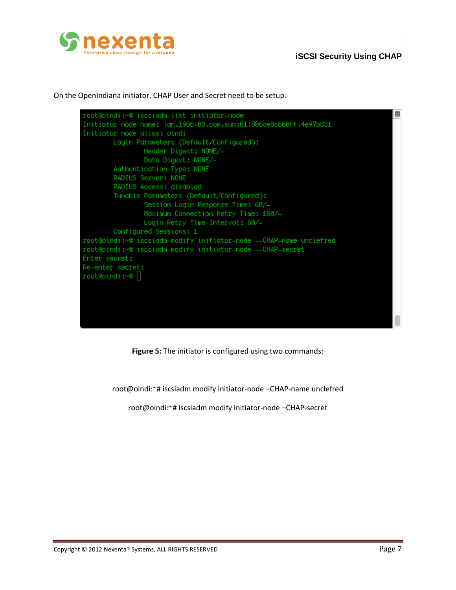

On the OpenIndiana initiator, CHAP User and Secret need to be setup.

| root@oindi:~# iscsiadm list initiator-node                         | E |
|--------------------------------------------------------------------|---|
| Initiator node name: ign.1986-03.com.sun:01:806ae8c600ff.4e97b831  |   |
| Initiator node alias: oindi                                        |   |
| Login Parameters (Default/Configured):                             |   |
| Header Digest: NONE/-                                              |   |
| Data Digest: NONE/-                                                |   |
| Authentication Type: NONE                                          |   |
| RADIUS Server: NONE                                                |   |
| RADIUS Access: disabled                                            |   |
| Tunable Parameters (Default/Configured):                           |   |
| Session Login Response Time: 60/-                                  |   |
| Maximum Connection Retry Time: 180/-                               |   |
| Login Retry Time Interval: 60/-                                    |   |
| Configured Sessions: 1                                             |   |
| root@oindi:~# iscsiadm modify initiator=node ==CHAP=name unclefred |   |
| root@oindi:~# iscsiadm modify initiator-node --CHAP-secret         |   |
| Enter secret:                                                      |   |
| Re-enter secret:                                                   |   |
| root@oindi:~#                                                      |   |
|                                                                    |   |
|                                                                    |   |
|                                                                    |   |
|                                                                    |   |
|                                                                    |   |

**Figure 5:** The initiator is configured using two commands:

root@oindi:~# iscsiadm modify initiator-node –CHAP-name unclefred

root@oindi:~# iscsiadm modify initiator-node –CHAP-secret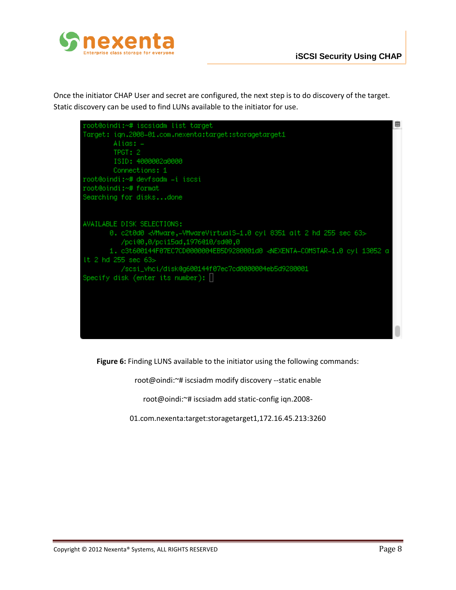

Once the initiator CHAP User and secret are configured, the next step is to do discovery of the target. Static discovery can be used to find LUNs available to the initiator for use.



**Figure 6:** Finding LUNS available to the initiator using the following commands:

root@oindi:~# iscsiadm modify discovery --static enable

root@oindi:~# iscsiadm add static-config iqn.2008-

01.com.nexenta:target:storagetarget1,172.16.45.213:3260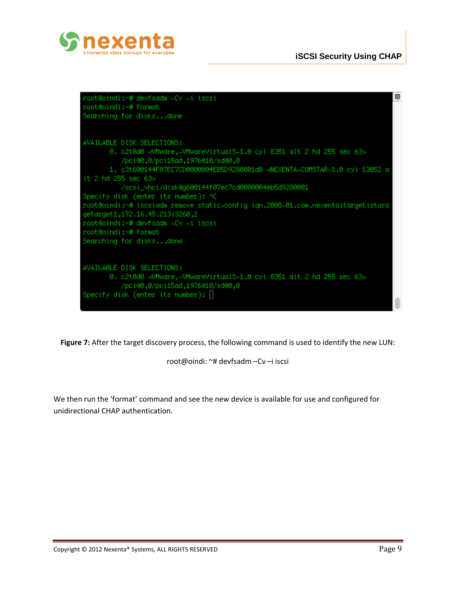

root@oindi:~# devfsadm =Cv =i iscsi ≘ root@oindi:~# format Searching for disks...done AVAILABLE DISK SELECTIONS: 0. c2t0d0 <VMware,-VMwareVirtualS-1.0 cyl 8351 alt 2 hd 255 sec 63> /pci@0,0/pci15ad,1976@10/sd@0,0 1. c3t600144F07EC7CD0000004EB5D9280001d0 <NEXENTA=COMSTAR=1.0 cyl 13052 a It 2 hd 255 sec 63> /scsi\_vhci/disk@g600144f07ec7cd0000004eb5d9280001 Specify disk (enter its number): AC root@oindi:~# iscsiadm remove static=config iqn.2008-01.com.nexenta:target:stora getarget1, 172.16.45.213:3260, 2 root@oindi:~# devfsadm =Cv =i iscsi root@oindi:~# format Searching for disks...done AVAILABLE DISK SELECTIONS: 0. c2t0d0 <VMware,-VMwareVirtualS-1.0 cyl 8351 alt 2 hd 255 sec 63> /pci@0,0/pci15ad,1976@10/sd@0,0 Specify disk (enter its number): |

**Figure 7:** After the target discovery process, the following command is used to identify the new LUN:

root@oindi: ~# devfsadm –Cv –i iscsi

We then run the 'format' command and see the new device is available for use and configured for unidirectional CHAP authentication.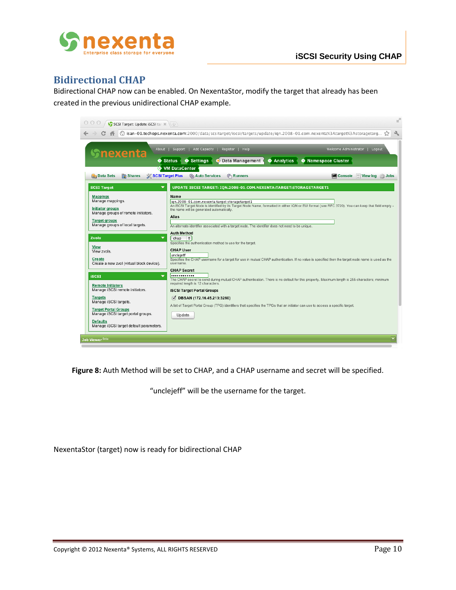

#### **Bidirectional CHAP**

Bidirectional CHAP now can be enabled. On NexentaStor, modify the target that already has been created in the previous unidirectional CHAP example.

|                                                                                                       | (iii isan-01.techops.nexenta.com:2000/data/scsitarget/iscsi/targets/update/iqn.2008-01.com.nexenta%3Atarget%3Astoragetarg                                                                                                                                               | ⊀≿                                                           |
|-------------------------------------------------------------------------------------------------------|-------------------------------------------------------------------------------------------------------------------------------------------------------------------------------------------------------------------------------------------------------------------------|--------------------------------------------------------------|
| <b>Snexenta</b>                                                                                       | About   Support   Add Capacity   Register   Help<br>$\bullet$ Status<br>Settings<br>$\rightarrow$ Data Management<br><b>O</b> Analytics<br><b>VM DataCenter</b>                                                                                                         | Welcome Administrator   Logout<br><b>O</b> Namespace Cluster |
| $\bullet$<br><b>Shares</b><br><b>SCSI Target Plus</b><br><b>Data Sets</b>                             | <b>Auto Services</b><br><b>参</b> Runners                                                                                                                                                                                                                                | Console<br>View log & Jobs                                   |
| ▼<br><b>SCSI Target</b>                                                                               | UPDATE ISCSI TARGET: ION.2008-01.COM.NEXENTA:TARGET:STORAGETARGET1                                                                                                                                                                                                      |                                                              |
| <b>Mappings</b><br>Manage mappings.<br><b>Initiator groups</b><br>Manage groups of remote initiators. | Name<br>ign.2008-01.com.nexenta:target:storagetarget1<br>An iSCSI Target Node is identified by its Target Node Name, formatted in either IQN or EUI format (see RFC 3720). You can keep that field empty -<br>the name will be generated automatically.<br><b>Alias</b> |                                                              |
| <b>Target groups</b><br>Manage groups of local targets.                                               | An alternate identifier associated with a target node. The identifier does not need to be unique.                                                                                                                                                                       |                                                              |
| ⇁<br>Zvols<br><b>View</b>                                                                             | <b>Auth Method</b><br>$\div$<br>chap<br>Specifies the authentication method to use for the target.                                                                                                                                                                      |                                                              |
| View zvols.<br>Create<br>Create a new zvol (virtual block device).                                    | <b>CHAP User</b><br>uncleieff<br>Specifies the CHAP username for a target for use in mutual CHAP authentication. If no value is specified then the target node name is used as the<br>username.                                                                         |                                                              |
| <b>iSCSI</b><br>$\overline{\phantom{a}}$<br><b>Remote Initiators</b>                                  | <b>CHAP Secret</b><br><br>The CHAP secret to send during mutual CHAP authentication. There is no default for this property. Maximum length is 255 characters; minimum<br>required length is 12 characters.                                                              |                                                              |
| Manage iSCSI remote initiators.                                                                       | <b>iSCSI Target Portal Groups</b>                                                                                                                                                                                                                                       |                                                              |
| <b>Targets</b><br>Manage iSCSI targets.                                                               | ◯ DBSAN (172.16.45.213:3260)<br>A list of Target Portal Group (TPG) identifiers that specifies the TPGs that an initiator can use to access a specific target.                                                                                                          |                                                              |
| <b>Target Portal Groups</b><br>Manage iSCSI target portal groups.                                     | Update                                                                                                                                                                                                                                                                  |                                                              |
| <b>Defaults</b><br>Manage iSCSI target default parameters.                                            |                                                                                                                                                                                                                                                                         |                                                              |

**Figure 8:** Auth Method will be set to CHAP, and a CHAP username and secret will be specified.

"unclejeff" will be the username for the target.

NexentaStor (target) now is ready for bidirectional CHAP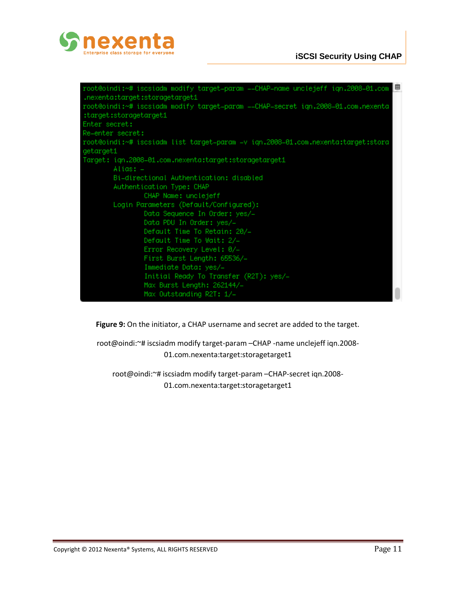

root@oindi:~# iscsiadm modify target=param ==CHAP=name unclejeff iqn.2008=01.com □ .nexenta:target:storagetarget1 root@oindi:~# iscsiadm modify target-param --CHAP-secret iqn.2008-01.com.nexenta :target:storagetarget1 Enter secret: Re-enter secret: root@oindi:~# iscsiadm list target=param =v iqn.2008-01.com.nexenta:target:stora getarget1 Target: ign.2008-01.com.nexenta:target:storagetarget1 Alias: -Bi-directional Authentication: disabled Authentication Type: CHAP CHAP Name: unclejeff Login Parameters (Default/Configured): Data Sequence In Order: yes/-Data PDU In Order: yes/-Default Time To Retain: 20/-Default Time To Wait: 2/-Error Recovery Level: 0/-First Burst Length: 65536/-Immediate Data: yes/-Initial Ready To Transfer (R2T): yes/-Max Burst Length: 262144/-Max Outstanding R2T: 1/-

**Figure 9:** On the initiator, a CHAP username and secret are added to the target.

root@oindi:~# iscsiadm modify target-param –CHAP -name unclejeff iqn.2008- 01.com.nexenta:target:storagetarget1

root@oindi:~# iscsiadm modify target-param –CHAP-secret iqn.2008- 01.com.nexenta:target:storagetarget1